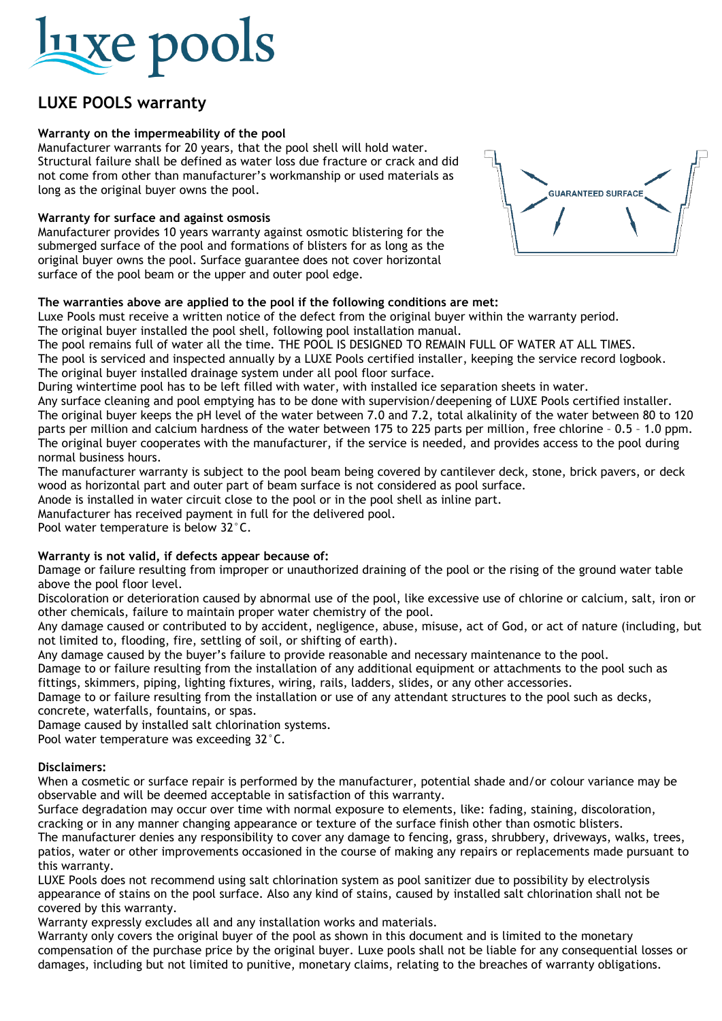## **Luxe pools**

### **LUXE POOLS warranty**

#### **Warranty on the impermeability of the pool**

Manufacturer warrants for 20 years, that the pool shell will hold water. Structural failure shall be defined as water loss due fracture or crack and did not come from other than manufacturer's workmanship or used materials as long as the original buyer owns the pool.

#### **Warranty for surface and against osmosis**

Manufacturer provides 10 years warranty against osmotic blistering for the submerged surface of the pool and formations of blisters for as long as the original buyer owns the pool. Surface guarantee does not cover horizontal surface of the pool beam or the upper and outer pool edge.

#### **The warranties above are applied to the pool if the following conditions are met:**

Luxe Pools must receive a written notice of the defect from the original buyer within the warranty period. The original buyer installed the pool shell, following pool installation manual.

The pool remains full of water all the time. THE POOL IS DESIGNED TO REMAIN FULL OF WATER AT ALL TIMES.

The pool is serviced and inspected annually by a LUXE Pools certified installer, keeping the service record logbook.

The original buyer installed drainage system under all pool floor surface.

During wintertime pool has to be left filled with water, with installed ice separation sheets in water.

Any surface cleaning and pool emptying has to be done with supervision/deepening of LUXE Pools certified installer. The original buyer keeps the pH level of the water between 7.0 and 7.2, total alkalinity of the water between 80 to 120 parts per million and calcium hardness of the water between 175 to 225 parts per million, free chlorine – 0.5 – 1.0 ppm. The original buyer cooperates with the manufacturer, if the service is needed, and provides access to the pool during normal business hours.

The manufacturer warranty is subject to the pool beam being covered by cantilever deck, stone, brick pavers, or deck wood as horizontal part and outer part of beam surface is not considered as pool surface.

Anode is installed in water circuit close to the pool or in the pool shell as inline part.

Manufacturer has received payment in full for the delivered pool.

Pool water temperature is below 32°C.

#### **Warranty is not valid, if defects appear because of:**

Damage or failure resulting from improper or unauthorized draining of the pool or the rising of the ground water table above the pool floor level.

Discoloration or deterioration caused by abnormal use of the pool, like excessive use of chlorine or calcium, salt, iron or other chemicals, failure to maintain proper water chemistry of the pool.

Any damage caused or contributed to by accident, negligence, abuse, misuse, act of God, or act of nature (including, but not limited to, flooding, fire, settling of soil, or shifting of earth).

Any damage caused by the buyer's failure to provide reasonable and necessary maintenance to the pool.

Damage to or failure resulting from the installation of any additional equipment or attachments to the pool such as fittings, skimmers, piping, lighting fixtures, wiring, rails, ladders, slides, or any other accessories.

Damage to or failure resulting from the installation or use of any attendant structures to the pool such as decks, concrete, waterfalls, fountains, or spas.

Damage caused by installed salt chlorination systems.

Pool water temperature was exceeding 32°C.

#### **Disclaimers:**

When a cosmetic or surface repair is performed by the manufacturer, potential shade and/or colour variance may be observable and will be deemed acceptable in satisfaction of this warranty.

Surface degradation may occur over time with normal exposure to elements, like: fading, staining, discoloration, cracking or in any manner changing appearance or texture of the surface finish other than osmotic blisters.

The manufacturer denies any responsibility to cover any damage to fencing, grass, shrubbery, driveways, walks, trees, patios, water or other improvements occasioned in the course of making any repairs or replacements made pursuant to this warranty.

LUXE Pools does not recommend using salt chlorination system as pool sanitizer due to possibility by electrolysis appearance of stains on the pool surface. Also any kind of stains, caused by installed salt chlorination shall not be covered by this warranty.

Warranty expressly excludes all and any installation works and materials.

Warranty only covers the original buyer of the pool as shown in this document and is limited to the monetary compensation of the purchase price by the original buyer. Luxe pools shall not be liable for any consequential losses or damages, including but not limited to punitive, monetary claims, relating to the breaches of warranty obligations.